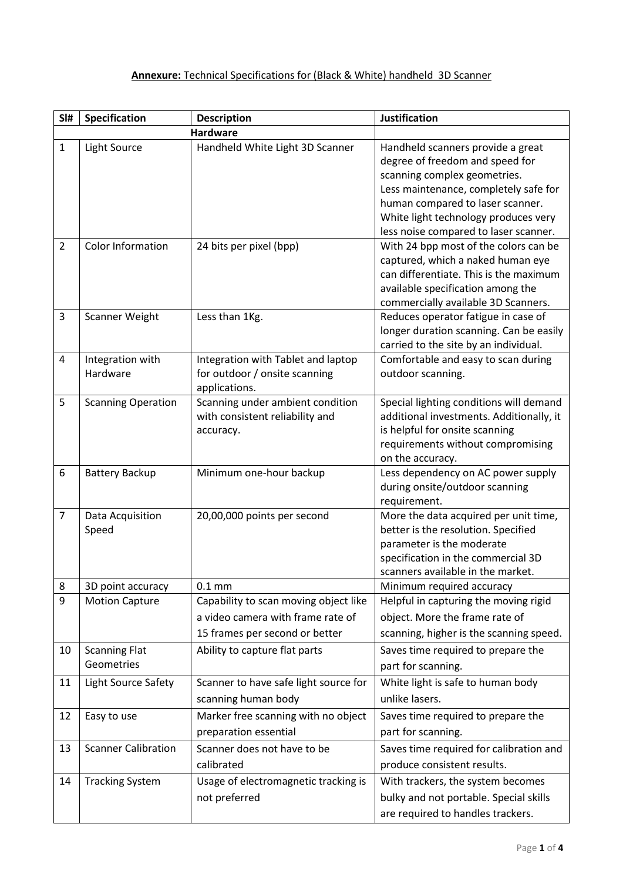## **Annexure:** Technical Specifications for (Black & White) handheld 3D Scanner

| SI#            | Specification                      | <b>Description</b>                                                                                           | <b>Justification</b>                                                                                                                                                                                                                                               |
|----------------|------------------------------------|--------------------------------------------------------------------------------------------------------------|--------------------------------------------------------------------------------------------------------------------------------------------------------------------------------------------------------------------------------------------------------------------|
|                |                                    | <b>Hardware</b>                                                                                              |                                                                                                                                                                                                                                                                    |
| $\mathbf{1}$   | Light Source                       | Handheld White Light 3D Scanner                                                                              | Handheld scanners provide a great<br>degree of freedom and speed for<br>scanning complex geometries.<br>Less maintenance, completely safe for<br>human compared to laser scanner.<br>White light technology produces very<br>less noise compared to laser scanner. |
| $\overline{2}$ | Color Information                  | 24 bits per pixel (bpp)                                                                                      | With 24 bpp most of the colors can be<br>captured, which a naked human eye<br>can differentiate. This is the maximum<br>available specification among the<br>commercially available 3D Scanners.                                                                   |
| 3              | Scanner Weight                     | Less than 1Kg.                                                                                               | Reduces operator fatigue in case of<br>longer duration scanning. Can be easily<br>carried to the site by an individual.                                                                                                                                            |
| 4              | Integration with<br>Hardware       | Integration with Tablet and laptop<br>for outdoor / onsite scanning<br>applications.                         | Comfortable and easy to scan during<br>outdoor scanning.                                                                                                                                                                                                           |
| 5              | <b>Scanning Operation</b>          | Scanning under ambient condition<br>with consistent reliability and<br>accuracy.                             | Special lighting conditions will demand<br>additional investments. Additionally, it<br>is helpful for onsite scanning<br>requirements without compromising<br>on the accuracy.                                                                                     |
| 6              | <b>Battery Backup</b>              | Minimum one-hour backup                                                                                      | Less dependency on AC power supply<br>during onsite/outdoor scanning<br>requirement.                                                                                                                                                                               |
| $\overline{7}$ | Data Acquisition<br>Speed          | 20,00,000 points per second                                                                                  | More the data acquired per unit time,<br>better is the resolution. Specified<br>parameter is the moderate<br>specification in the commercial 3D<br>scanners available in the market.                                                                               |
| 8              | 3D point accuracy                  | $0.1$ mm                                                                                                     | Minimum required accuracy                                                                                                                                                                                                                                          |
| 9              | <b>Motion Capture</b>              | Capability to scan moving object like<br>a video camera with frame rate of<br>15 frames per second or better | Helpful in capturing the moving rigid<br>object. More the frame rate of<br>scanning, higher is the scanning speed.                                                                                                                                                 |
| 10             | <b>Scanning Flat</b><br>Geometries | Ability to capture flat parts                                                                                | Saves time required to prepare the<br>part for scanning.                                                                                                                                                                                                           |
| 11             | Light Source Safety                | Scanner to have safe light source for<br>scanning human body                                                 | White light is safe to human body<br>unlike lasers.                                                                                                                                                                                                                |
| 12             | Easy to use                        | Marker free scanning with no object<br>preparation essential                                                 | Saves time required to prepare the<br>part for scanning.                                                                                                                                                                                                           |
| 13             | <b>Scanner Calibration</b>         | Scanner does not have to be<br>calibrated                                                                    | Saves time required for calibration and<br>produce consistent results.                                                                                                                                                                                             |
| 14             | <b>Tracking System</b>             | Usage of electromagnetic tracking is<br>not preferred                                                        | With trackers, the system becomes<br>bulky and not portable. Special skills<br>are required to handles trackers.                                                                                                                                                   |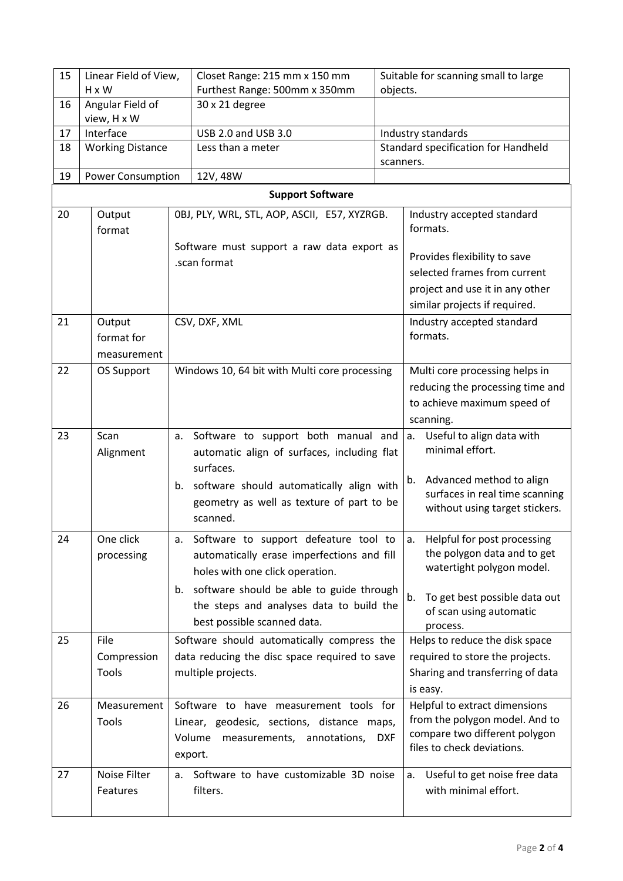| 15 | Linear Field of View,                                       |                                            | Closet Range: 215 mm x 150 mm                                                         |                                | Suitable for scanning small to large                           |  |  |
|----|-------------------------------------------------------------|--------------------------------------------|---------------------------------------------------------------------------------------|--------------------------------|----------------------------------------------------------------|--|--|
|    | H x W                                                       |                                            | Furthest Range: 500mm x 350mm                                                         | objects.                       |                                                                |  |  |
| 16 | Angular Field of<br>view, H x W                             |                                            | 30 x 21 degree                                                                        |                                |                                                                |  |  |
| 17 | Interface                                                   |                                            | USB 2.0 and USB 3.0                                                                   | Industry standards             |                                                                |  |  |
| 18 | <b>Working Distance</b>                                     |                                            | Less than a meter<br>scanners.                                                        |                                | Standard specification for Handheld                            |  |  |
| 19 | <b>Power Consumption</b>                                    |                                            | 12V, 48W                                                                              |                                |                                                                |  |  |
|    | <b>Support Software</b>                                     |                                            |                                                                                       |                                |                                                                |  |  |
| 20 | Output                                                      |                                            | OBJ, PLY, WRL, STL, AOP, ASCII, E57, XYZRGB.                                          |                                | Industry accepted standard                                     |  |  |
|    | format                                                      |                                            |                                                                                       |                                | formats.                                                       |  |  |
|    |                                                             |                                            | Software must support a raw data export as                                            |                                |                                                                |  |  |
|    |                                                             |                                            | .scan format                                                                          |                                | Provides flexibility to save                                   |  |  |
|    |                                                             |                                            |                                                                                       |                                | selected frames from current                                   |  |  |
|    |                                                             |                                            |                                                                                       |                                | project and use it in any other                                |  |  |
|    |                                                             |                                            |                                                                                       |                                | similar projects if required.                                  |  |  |
| 21 | Output                                                      |                                            | CSV, DXF, XML                                                                         |                                | Industry accepted standard<br>formats.                         |  |  |
|    | format for                                                  |                                            |                                                                                       |                                |                                                                |  |  |
|    | measurement                                                 |                                            |                                                                                       |                                |                                                                |  |  |
| 22 | Windows 10, 64 bit with Multi core processing<br>OS Support |                                            |                                                                                       | Multi core processing helps in |                                                                |  |  |
|    |                                                             |                                            |                                                                                       |                                | reducing the processing time and                               |  |  |
|    |                                                             |                                            |                                                                                       |                                | to achieve maximum speed of                                    |  |  |
|    |                                                             |                                            |                                                                                       |                                | scanning.                                                      |  |  |
| 23 | Scan<br>a.                                                  |                                            | Software to support both manual and                                                   |                                | Useful to align data with<br>a.<br>minimal effort.             |  |  |
|    | Alignment                                                   |                                            | automatic align of surfaces, including flat<br>surfaces.                              |                                |                                                                |  |  |
|    |                                                             | b.                                         |                                                                                       |                                | Advanced method to align<br>b.                                 |  |  |
|    |                                                             |                                            | software should automatically align with<br>geometry as well as texture of part to be |                                | surfaces in real time scanning                                 |  |  |
|    |                                                             |                                            | scanned.                                                                              |                                | without using target stickers.                                 |  |  |
| 24 | One click                                                   | а.                                         | Software to support defeature tool to                                                 |                                | Helpful for post processing<br>а.                              |  |  |
|    | processing                                                  | automatically erase imperfections and fill |                                                                                       |                                | the polygon data and to get                                    |  |  |
|    |                                                             |                                            | holes with one click operation.                                                       |                                | watertight polygon model.                                      |  |  |
|    |                                                             |                                            | b. software should be able to guide through                                           |                                |                                                                |  |  |
|    |                                                             |                                            | the steps and analyses data to build the                                              |                                | To get best possible data out<br>b.<br>of scan using automatic |  |  |
|    |                                                             |                                            | best possible scanned data.                                                           |                                | process.                                                       |  |  |
| 25 | File                                                        |                                            | Software should automatically compress the                                            |                                | Helps to reduce the disk space                                 |  |  |
|    | Compression                                                 |                                            | data reducing the disc space required to save                                         |                                | required to store the projects.                                |  |  |
|    | Tools                                                       |                                            | multiple projects.                                                                    |                                | Sharing and transferring of data                               |  |  |
|    |                                                             |                                            |                                                                                       |                                | is easy.                                                       |  |  |
| 26 | Measurement                                                 |                                            | Software to have measurement tools for                                                |                                | Helpful to extract dimensions                                  |  |  |
|    | Tools                                                       |                                            | Linear, geodesic, sections, distance maps,                                            |                                | from the polygon model. And to                                 |  |  |
|    |                                                             |                                            | Volume<br>measurements, annotations,                                                  | <b>DXF</b>                     | compare two different polygon                                  |  |  |
|    |                                                             |                                            | export.                                                                               |                                | files to check deviations.                                     |  |  |
| 27 | Noise Filter                                                |                                            | a. Software to have customizable 3D noise                                             |                                | Useful to get noise free data<br>a.                            |  |  |
|    | Features                                                    |                                            | filters.                                                                              |                                | with minimal effort.                                           |  |  |
|    |                                                             |                                            |                                                                                       |                                |                                                                |  |  |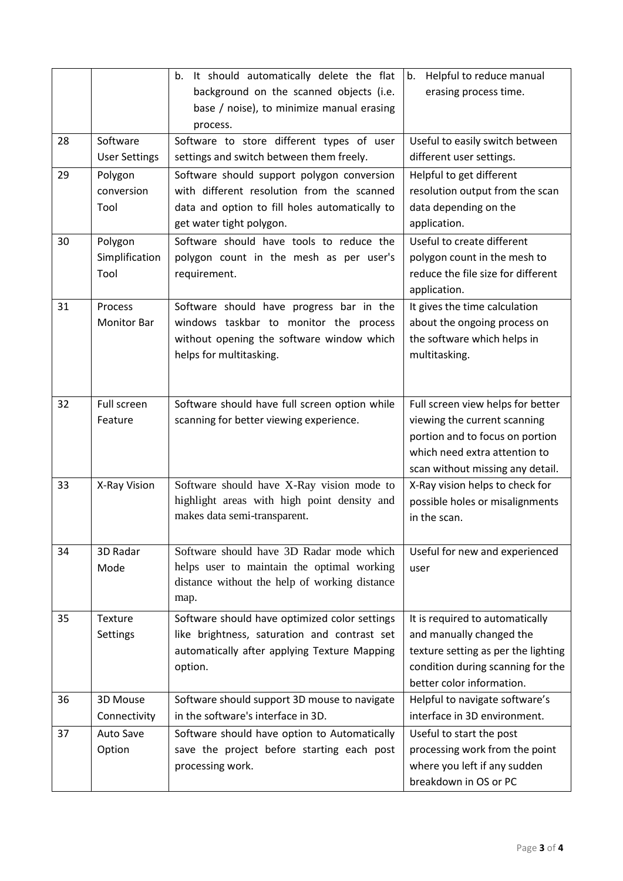|    |                                   | It should automatically delete the flat<br>b.<br>background on the scanned objects (i.e.                                                                               | b. Helpful to reduce manual<br>erasing process time.                                                                                                                      |
|----|-----------------------------------|------------------------------------------------------------------------------------------------------------------------------------------------------------------------|---------------------------------------------------------------------------------------------------------------------------------------------------------------------------|
|    |                                   | base / noise), to minimize manual erasing<br>process.                                                                                                                  |                                                                                                                                                                           |
| 28 | Software<br><b>User Settings</b>  | Software to store different types of user<br>settings and switch between them freely.                                                                                  | Useful to easily switch between<br>different user settings.                                                                                                               |
| 29 | Polygon<br>conversion<br>Tool     | Software should support polygon conversion<br>with different resolution from the scanned<br>data and option to fill holes automatically to<br>get water tight polygon. | Helpful to get different<br>resolution output from the scan<br>data depending on the<br>application.                                                                      |
| 30 | Polygon<br>Simplification<br>Tool | Software should have tools to reduce the<br>polygon count in the mesh as per user's<br>requirement.                                                                    | Useful to create different<br>polygon count in the mesh to<br>reduce the file size for different<br>application.                                                          |
| 31 | Process<br><b>Monitor Bar</b>     | Software should have progress bar in the<br>windows taskbar to monitor the process<br>without opening the software window which<br>helps for multitasking.             | It gives the time calculation<br>about the ongoing process on<br>the software which helps in<br>multitasking.                                                             |
| 32 | Full screen<br>Feature            | Software should have full screen option while<br>scanning for better viewing experience.                                                                               | Full screen view helps for better<br>viewing the current scanning<br>portion and to focus on portion<br>which need extra attention to<br>scan without missing any detail. |
| 33 | X-Ray Vision                      | Software should have X-Ray vision mode to<br>highlight areas with high point density and<br>makes data semi-transparent.                                               | X-Ray vision helps to check for<br>possible holes or misalignments<br>in the scan.                                                                                        |
| 34 | 3D Radar<br>Mode                  | Software should have 3D Radar mode which<br>helps user to maintain the optimal working<br>distance without the help of working distance<br>map.                        | Useful for new and experienced<br>user                                                                                                                                    |
| 35 | Texture<br>Settings               | Software should have optimized color settings<br>like brightness, saturation and contrast set<br>automatically after applying Texture Mapping<br>option.               | It is required to automatically<br>and manually changed the<br>texture setting as per the lighting<br>condition during scanning for the<br>better color information.      |
| 36 | 3D Mouse<br>Connectivity          | Software should support 3D mouse to navigate<br>in the software's interface in 3D.                                                                                     | Helpful to navigate software's<br>interface in 3D environment.                                                                                                            |
| 37 | <b>Auto Save</b><br>Option        | Software should have option to Automatically<br>save the project before starting each post<br>processing work.                                                         | Useful to start the post<br>processing work from the point<br>where you left if any sudden<br>breakdown in OS or PC                                                       |